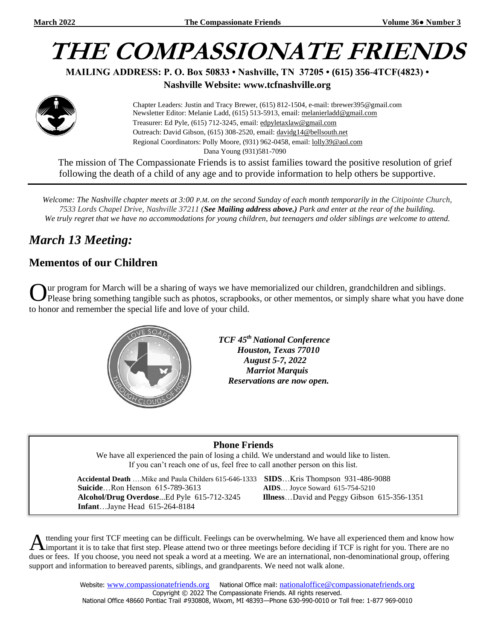# **THE COMPASSIONATE FRIENDS**

**MAILING ADDRESS: P. O. Box 50833 • Nashville, TN 37205 • (615) 356-4TCF(4823) •**

**Nashville Website: www.tcfnashville.org**



 Chapter Leaders: Justin and Tracy Brewer, (615) 812-1504, e-mail: tbrewer395@gmail.com Newsletter Editor: Melanie Ladd, (615) 513-5913, email: [melanierladd@gmail.com](mailto:melanierladd@gmail.com)  Treasurer: Ed Pyle, (615) 712-3245, email[: edpyletaxlaw@gmail.com](mailto:edpyletaxlaw@gmail.com) Outreach: David Gibson, (615) 308-2520, email: davidg14@bellsouth.net Regional Coordinators: Polly Moore, (931) 962-0458, email: [lolly39@aol.com](mailto:lolly39@aol.com) Dana Young (931)581-7090

The mission of The Compassionate Friends is to assist families toward the positive resolution of grief following the death of a child of any age and to provide information to help others be supportive.

*Welcome: The Nashville chapter meets at 3:00 P.M. on the second Sunday of each month temporarily in the Citipointe Church, 7533 Lords Chapel Drive, Nashville 37211 (See Mailing address above.) Park and enter at the rear of the building. We truly regret that we have no accommodations for young children, but teenagers and older siblings are welcome to attend.*

## *March 13 Meeting:*

#### **Mementos of our Children**

ur program for March will be a sharing of ways we have memorialized our children, grandchildren and siblings. Please bring something tangible such as photos, scrapbooks, or other mementos, or simply share what you have done to honor and remember the special life and love of your child. O



 *TCF 45th National Conference Houston, Texas 77010 August 5-7, 2022 Marriot Marquis Reservations are now open.*

#### **Phone Friends**

We have all experienced the pain of losing a child. We understand and would like to listen. If you can't reach one of us, feel free to call another person on this list.

 **Accidental Death** ….Mike and Paula Childers 615-646-1333 **SIDS**…Kris Thompson 931-486-9088  **Suicide**…Ron Henson 615-789-3613 **AIDS**… Joyce Soward 615-754-5210  **Alcohol/Drug Overdose**...Ed Pyle 615-712-3245 **Illness**…David and Peggy Gibson 615-356-1351  **Infant**…Jayne Head 615-264-8184

ttending your first TCF meeting can be difficult. Feelings can be overwhelming. We have all experienced them and know how A ttending your first TCF meeting can be difficult. Feelings can be overwhelming. We have all experienced them and know hove three meetings before deciding if TCF is right for you. There are no important it is to take that dues or fees. If you choose, you need not speak a word at a meeting. We are an international, non-denominational group, offering support and information to bereaved parents, siblings, and grandparents. We need not walk alone.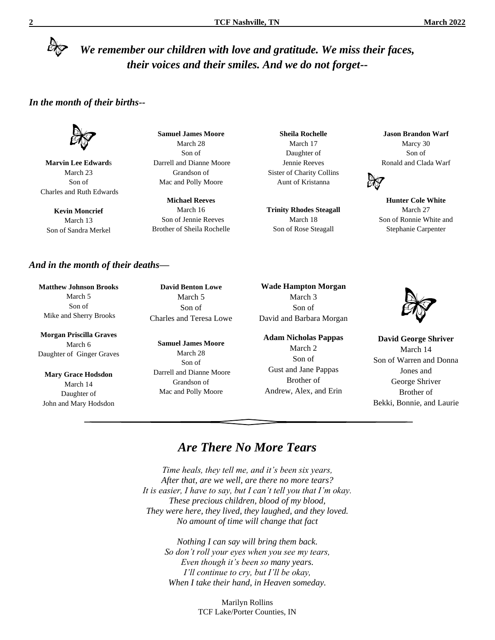### *We remember our children with love and gratitude. We miss their faces, their voices and their smiles. And we do not forget--*

#### *In the month of their births--*

**Marvin Lee Edward**s March 23 Son of Charles and Ruth Edwards

**Kevin Moncrief** March 13 Son of Sandra Merkel

**Samuel James Moore** March 28 Son of Darrell and Dianne Moore Grandson of Mac and Polly Moore

**Michael Reeves** March 16 Son of Jennie Reeves Brother of Sheila Rochelle

**Sheila Rochelle** March 17 Daughter of Jennie Reeves Sister of Charity Collins Aunt of Kristanna

**Trinity Rhodes Steagall** March 18 Son of Rose Steagall

**Jason Brandon Warf** Marcy 30 Son of Ronald and Clada Warf



**Hunter Cole White** March 27 Son of Ronnie White and Stephanie Carpenter

#### *And in the month of their deaths—*

**Matthew Johnson Brooks** March 5 Son of Mike and Sherry Brooks

**Morgan Priscilla Graves** March 6 Daughter of Ginger Graves

**Mary Grace Hodsdon** March 14 Daughter of John and Mary Hodsdon

**David Benton Lowe** March 5 Son of Charles and Teresa Lowe

**Samuel James Moore** March 28 Son of Darrell and Dianne Moore Grandson of Mac and Polly Moore

**Wade Hampton Morgan** March 3 Son of David and Barbara Morgan

**Adam Nicholas Pappas** March 2 Son of Gust and Jane Pappas Brother of Andrew, Alex, and Erin



**David George Shriver** March 14 Son of Warren and Donna Jones and George Shriver Brother of Bekki, Bonnie, and Laurie

#### *Are There No More Tears*

*Time heals, they tell me, and it's been six years, After that, are we well, are there no more tears? It is easier, I have to say, but I can't tell you that I'm okay. These precious children, blood of my blood, They were here, they lived, they laughed, and they loved. No amount of time will change that fact*

> *Nothing I can say will bring them back. So don't roll your eyes when you see my tears, Even though it's been so many years. I'll continue to cry, but I'll be okay, When I take their hand, in Heaven someday.*

> > Marilyn Rollins TCF Lake/Porter Counties, IN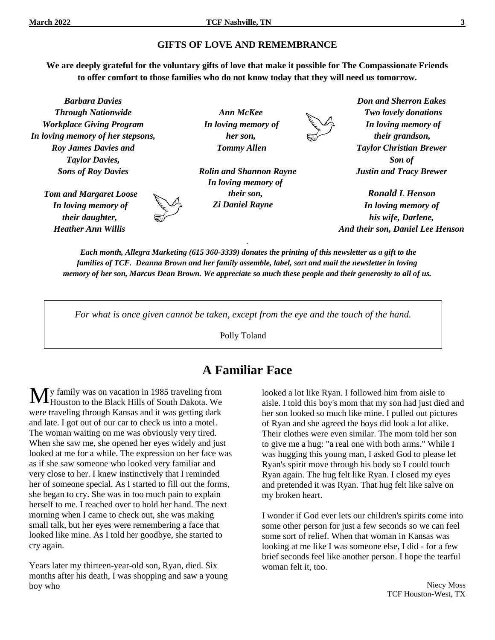#### **GIFTS OF LOVE AND REMEMBRANCE**

**We are deeply grateful for the voluntary gifts of love that make it possible for The Compassionate Friends to offer comfort to those families who do not know today that they will need us tomorrow.**

*Barbara Davies Through Nationwide Workplace Giving Program In loving memory of her stepsons, Roy James Davies and Taylor Davies, Sons of Roy Davies*

> *Tom and Margaret Loose In loving memory of their daughter, Heather Ann Willis*

*Ann McKee In loving memory of her son, Tommy Allen*

 *Rolin and Shannon Rayne In loving memory of their son, Zi Daniel Rayne*



*Don and Sherron Eakes Two lovely donations In loving memory of their grandson, Taylor Christian Brewer Son of Justin and Tracy Brewer*

*Ronald L Henson In loving memory of his wife, Darlene, And their son, Daniel Lee Henson*

*Each month, Allegra Marketing (615 360-3339) donates the printing of this newsletter as a gift to the families of TCF. Deanna Brown and her family assemble, label, sort and mail the newsletter in loving memory of her son, Marcus Dean Brown. We appreciate so much these people and their generosity to all of us.*

.

*For what is once given cannot be taken, except from the eye and the touch of the hand.*

Polly Toland

#### **A Familiar Face**

y family was on vacation in 1985 traveling from Houston to the Black Hills of South Dakota. We were traveling through Kansas and it was getting dark and late. I got out of our car to check us into a motel. The woman waiting on me was obviously very tired. When she saw me, she opened her eyes widely and just looked at me for a while. The expression on her face was as if she saw someone who looked very familiar and very close to her. I knew instinctively that I reminded her of someone special. As I started to fill out the forms, she began to cry. She was in too much pain to explain herself to me. I reached over to hold her hand. The next morning when I came to check out, she was making small talk, but her eyes were remembering a face that looked like mine. As I told her goodbye, she started to cry again. M

Years later my thirteen-year-old son, Ryan, died. Six months after his death, I was shopping and saw a young boy who

looked a lot like Ryan. I followed him from aisle to aisle. I told this boy's mom that my son had just died and her son looked so much like mine. I pulled out pictures of Ryan and she agreed the boys did look a lot alike. Their clothes were even similar. The mom told her son to give me a hug: "a real one with both arms." While I was hugging this young man, I asked God to please let Ryan's spirit move through his body so I could touch Ryan again. The hug felt like Ryan. I closed my eyes and pretended it was Ryan. That hug felt like salve on my broken heart.

I wonder if God ever lets our children's spirits come into some other person for just a few seconds so we can feel some sort of relief. When that woman in Kansas was looking at me like I was someone else, I did - for a few brief seconds feel like another person. I hope the tearful woman felt it, too.

> Niecy Moss TCF Houston-West, TX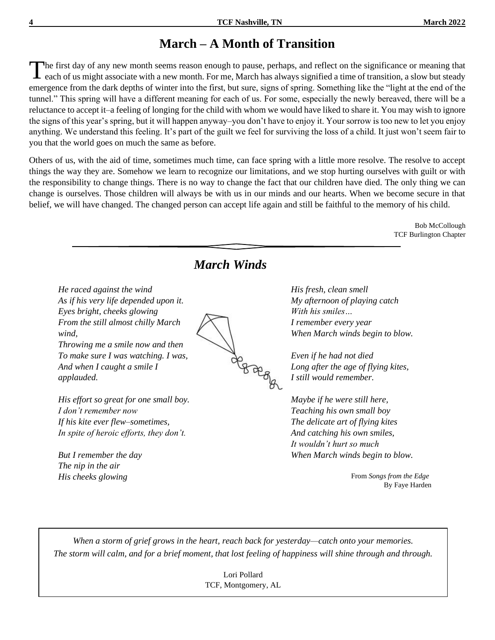## **March – A Month of Transition**

he first day of any new month seems reason enough to pause, perhaps, and reflect on the significance or meaning that each of us might associate with a new month. For me, March has always signified a time of transition, a slow but steady emergence from the dark depths of winter into the first, but sure, signs of spring. Something like the "light at the end of the tunnel." This spring will have a different meaning for each of us. For some, especially the newly bereaved, there will be a reluctance to accept it–a feeling of longing for the child with whom we would have liked to share it. You may wish to ignore the signs of this year's spring, but it will happen anyway–you don't have to enjoy it. Your sorrow is too new to let you enjoy anything. We understand this feeling. It's part of the guilt we feel for surviving the loss of a child. It just won't seem fair to you that the world goes on much the same as before. T

Others of us, with the aid of time, sometimes much time, can face spring with a little more resolve. The resolve to accept things the way they are. Somehow we learn to recognize our limitations, and we stop hurting ourselves with guilt or with the responsibility to change things. There is no way to change the fact that our children have died. The only thing we can change is ourselves. Those children will always be with us in our minds and our hearts. When we become secure in that belief, we will have changed. The changed person can accept life again and still be faithful to the memory of his child.

> Bob McCollough TCF Burlington Chapter



Lori Pollard TCF, Montgomery, AL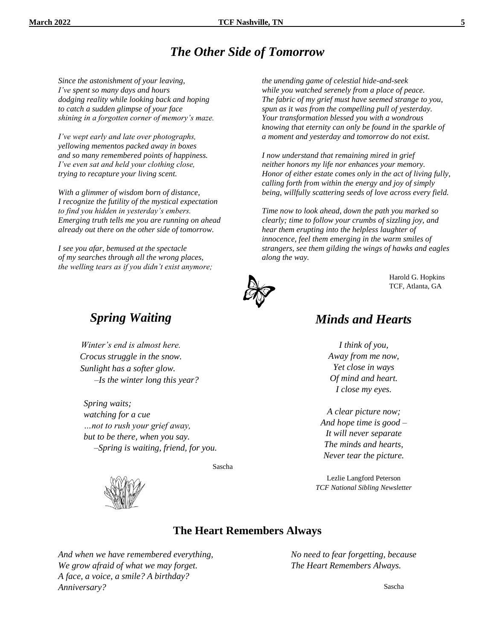#### *The Other Side of Tomorrow*

*Since the astonishment of your leaving, I've spent so many days and hours dodging reality while looking back and hoping to catch a sudden glimpse of your face shining in a forgotten corner of memory's maze.*

*I've wept early and late over photographs, yellowing mementos packed away in boxes and so many remembered points of happiness. I've even sat and held your clothing close, trying to recapture your living scent.*

*With a glimmer of wisdom born of distance, I recognize the futility of the mystical expectation to find you hidden in yesterday's embers. Emerging truth tells me you are running on ahead already out there on the other side of tomorrow.*

*I see you afar, bemused at the spectacle of my searches through all the wrong places, the welling tears as if you didn't exist anymore;* *the unending game of celestial hide-and-seek while you watched serenely from a place of peace. The fabric of my grief must have seemed strange to you, spun as it was from the compelling pull of yesterday. Your transformation blessed you with a wondrous knowing that eternity can only be found in the sparkle of a moment and yesterday and tomorrow do not exist.*

*I now understand that remaining mired in grief neither honors my life nor enhances your memory. Honor of either estate comes only in the act of living fully, calling forth from within the energy and joy of simply being, willfully scattering seeds of love across every field.*

*Time now to look ahead, down the path you marked so clearly; time to follow your crumbs of sizzling joy, and hear them erupting into the helpless laughter of innocence, feel them emerging in the warm smiles of strangers, see them gilding the wings of hawks and eagles along the way.*



Harold G. Hopkins TCF, Atlanta, GA

#### *Spring Waiting*

*Winter's end is almost here. Crocus struggle in the snow. Sunlight has a softer glow. –Is the winter long this year?*

*Spring waits; watching for a cue …not to rush your grief away, but to be there, when you say.* –*Spring is waiting, friend, for you.* 

Sascha



#### *Minds and Hearts*

*I think of you, Away from me now, Yet close in ways Of mind and heart. I close my eyes.*

*A clear picture now; And hope time is good – It will never separate The minds and hearts, Never tear the picture.*

Lezlie Langford Peterson *TCF National Sibling Newsletter*

#### **The Heart Remembers Always**

*And when we have remembered everything, We grow afraid of what we may forget. A face, a voice, a smile? A birthday? Anniversary?*

*No need to fear forgetting, because The Heart Remembers Always.*

Sascha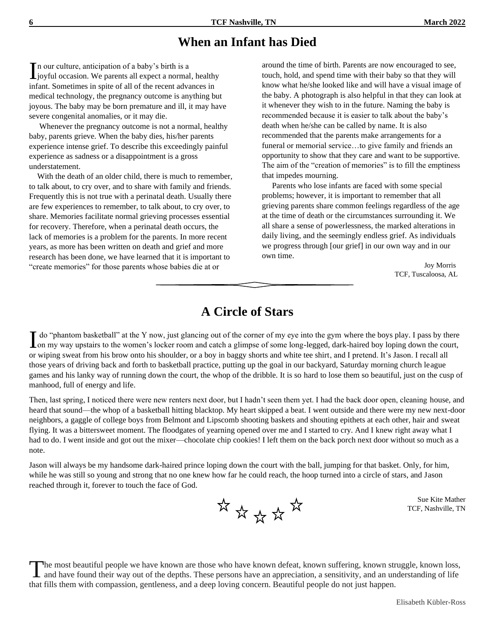#### **When an Infant has Died**

n our culture, anticipation of a baby's birth is a In our culture, anticipation of a baby's birth is a<br>lyoyful occasion. We parents all expect a normal, healthy infant. Sometimes in spite of all of the recent advances in medical technology, the pregnancy outcome is anything but joyous. The baby may be born premature and ill, it may have severe congenital anomalies, or it may die.

 Whenever the pregnancy outcome is not a normal, healthy baby, parents grieve. When the baby dies, his/her parents experience intense grief. To describe this exceedingly painful experience as sadness or a disappointment is a gross understatement.

 With the death of an older child, there is much to remember, to talk about, to cry over, and to share with family and friends. Frequently this is not true with a perinatal death. Usually there are few experiences to remember, to talk about, to cry over, to share. Memories facilitate normal grieving processes essential for recovery. Therefore, when a perinatal death occurs, the lack of memories is a problem for the parents. In more recent years, as more has been written on death and grief and more research has been done, we have learned that it is important to "create memories" for those parents whose babies die at or

around the time of birth. Parents are now encouraged to see, touch, hold, and spend time with their baby so that they will know what he/she looked like and will have a visual image of the baby. A photograph is also helpful in that they can look at it whenever they wish to in the future. Naming the baby is recommended because it is easier to talk about the baby's death when he/she can be called by name. It is also recommended that the parents make arrangements for a funeral or memorial service…to give family and friends an opportunity to show that they care and want to be supportive. The aim of the "creation of memories" is to fill the emptiness that impedes mourning.

 Parents who lose infants are faced with some special problems; however, it is important to remember that all grieving parents share common feelings regardless of the age at the time of death or the circumstances surrounding it. We all share a sense of powerlessness, the marked alterations in daily living, and the seemingly endless grief. As individuals we progress through [our grief] in our own way and in our own time.

> Joy Morris TCF, Tuscaloosa, AL

#### **A Circle of Stars**

I do "phantom basketball" at the Y now, just glancing out of the corner of my eye into the gym where the boys play. I pass by there on my way upstairs to the women's locker room and catch a glimpse of some long-legged, dar on my way upstairs to the women's locker room and catch a glimpse of some long-legged, dark-haired boy loping down the court, or wiping sweat from his brow onto his shoulder, or a boy in baggy shorts and white tee shirt, and I pretend. It's Jason. I recall all those years of driving back and forth to basketball practice, putting up the goal in our backyard, Saturday morning church league games and his lanky way of running down the court, the whop of the dribble. It is so hard to lose them so beautiful, just on the cusp of manhood, full of energy and life.

Then, last spring, I noticed there were new renters next door, but I hadn't seen them yet. I had the back door open, cleaning house, and heard that sound—the whop of a basketball hitting blacktop. My heart skipped a beat. I went outside and there were my new next-door neighbors, a gaggle of college boys from Belmont and Lipscomb shooting baskets and shouting epithets at each other, hair and sweat flying. It was a bittersweet moment. The floodgates of yearning opened over me and I started to cry. And I knew right away what I had to do. I went inside and got out the mixer—chocolate chip cookies! I left them on the back porch next door without so much as a note.

Jason will always be my handsome dark-haired prince loping down the court with the ball, jumping for that basket. Only, for him, while he was still so young and strong that no one knew how far he could reach, the hoop turned into a circle of stars, and Jason reached through it, forever to touch the face of God.



Sue Kite Mather TCF, Nashville, TN

he most beautiful people we have known are those who have known defeat, known suffering, known struggle, known loss, The most beautiful people we have known are those who have known defeat, known suffering, known struggle, known loss, and have found their way out of the depths. These persons have an appreciation, a sensitivity, and an un that fills them with compassion, gentleness, and a deep loving concern. Beautiful people do not just happen.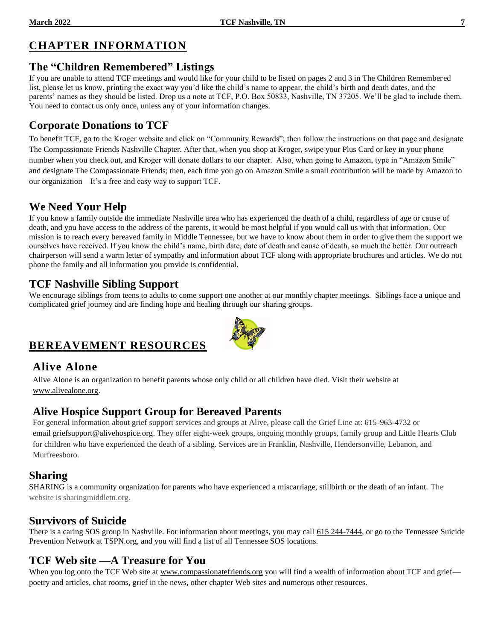### **CHAPTER INFORMATION**

#### **The "Children Remembered" Listings**

If you are unable to attend TCF meetings and would like for your child to be listed on pages 2 and 3 in The Children Remembered list, please let us know, printing the exact way you'd like the child's name to appear, the child's birth and death dates, and the parents' names as they should be listed. Drop us a note at TCF, P.O. Box 50833, Nashville, TN 37205. We'll be glad to include them. You need to contact us only once, unless any of your information changes.

#### **Corporate Donations to TCF**

To benefit TCF, go to the Kroger website and click on "Community Rewards"; then follow the instructions on that page and designate The Compassionate Friends Nashville Chapter. After that, when you shop at Kroger, swipe your Plus Card or key in your phone number when you check out, and Kroger will donate dollars to our chapter. Also, when going to Amazon, type in "Amazon Smile" and designate The Compassionate Friends; then, each time you go on Amazon Smile a small contribution will be made by Amazon to our organization—It's a free and easy way to support TCF.

#### **We Need Your Help**

If you know a family outside the immediate Nashville area who has experienced the death of a child, regardless of age or cause of death, and you have access to the address of the parents, it would be most helpful if you would call us with that information. Our mission is to reach every bereaved family in Middle Tennessee, but we have to know about them in order to give them the support we ourselves have received. If you know the child's name, birth date, date of death and cause of death, so much the better. Our outreach chairperson will send a warm letter of sympathy and information about TCF along with appropriate brochures and articles. We do not phone the family and all information you provide is confidential.

#### **TCF Nashville Sibling Support**

We encourage siblings from teens to adults to come support one another at our monthly chapter meetings. Siblings face a unique and complicated grief journey and are finding hope and healing through our sharing groups.

#### **BEREAVEMENT RESOURCES**

#### **Alive Alone**

Alive Alone is an organization to benefit parents whose only child or all children have died. Visit their website at [www.alivealone.org.](http://www.alivealone.org/)

#### **Alive Hospice Support Group for Bereaved Parents**

For general information about grief support services and groups at Alive, please call the Grief Line at: 615-963-4732 or email [griefsupport@alivehospice.org.](mailto:griefsupport@alivehospice.org) They offer eight-week groups, ongoing monthly groups, family group and Little Hearts Club for children who have experienced the death of a sibling. Services are in Franklin, Nashville, Hendersonville, Lebanon, and Murfreesboro.

#### **Sharing**

SHARING is a community organization for parents who have experienced a miscarriage, stillbirth or the death of an infant. The website is sharingmiddletn.org.

#### **Survivors of Suicide**

There is a caring SOS group in Nashville. For information about meetings, you may call 615 244-7444, or go to the Tennessee Suicide Prevention Network at TSPN.org, and you will find a list of all Tennessee SOS locations.

#### **TCF Web site —A Treasure for You**

When you log onto the TCF Web site at [www.compassionatefriends.org](http://www.compassionatefriends.org/) you will find a wealth of information about TCF and grief poetry and articles, chat rooms, grief in the news, other chapter Web sites and numerous other resources.